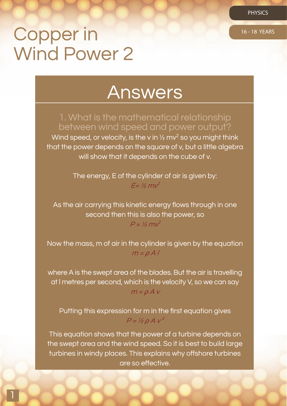PHYSICS

# Copper in 16-18 YEARS Wind Power 2

1

# Answers

1. What is the mathematical relationship between wind speed and power output? Wind speed, or velocity, is the v in  $\frac{1}{2}$  mv<sup>2</sup> so you might think that the power depends on the square of v, but a little algebra

will show that it depends on the cube of v.

The energy, E of the cylinder of air is given by:  $F=$  1/2  $m<sup>2</sup>$ 

As the air carrying this kinetic energy flows through in one second then this is also the power, so  $P = V_2 mv^2$ 

Now the mass, m of air in the cylinder is given by the equation  $m = \rho A l$ 

where A is the swept area of the blades. But the air is travelling at I metres per second, which is the velocity V, so we can say  $m = \rho A V$ 

Putting this expression for m in the first equation gives  $P = V_2 \rho A v^3$ 

This equation shows that the power of a turbine depends on the swept area and the wind speed. So it is best to build large turbines in windy places. This explains why offshore turbines are so effective.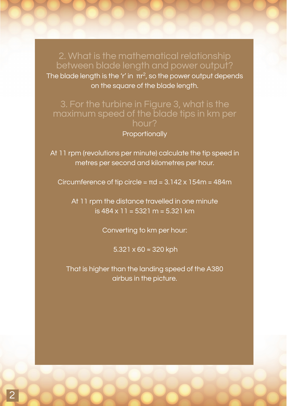2. What is the mathematical relationship between blade length and power output? The blade length is the 'r' in  $\pi r^2$ , so the power output depends on the square of the blade length.

### 3. For the turbine in Figure 3, what is the maximum speed of the blade tips in km per hour?

#### **Proportionally**

At 11 rpm (revolutions per minute) calculate the tip speed in metres per second and kilometres per hour.

Circumference of tip circle =  $\pi d = 3.142 \times 154m = 484m$ 

At 11 rpm the distance travelled in one minute is 484 x 11 = 5321 m = 5.321 km

Converting to km per hour:

5.321 x 60  $≈$  320 kph

That is higher than the landing speed of the A380 airbus in the picture.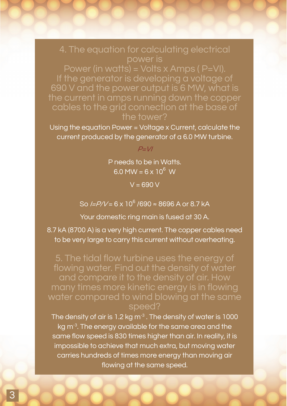# 4. The equation for calculating electrical power is

Power (in watts) = Volts x Amps ( $P=VI$ ). If the generator is developing a voltage of 690 V and the power output is 6 MW, what is the current in amps running down the copper cables to the grid connection at the base of the tower?

Using the equation Power = Voltage x Current, calculate the current produced by the generator of a 6.0 MW turbine.

 $P=V$ 

P needs to be in Watts. 6.0 MW =  $6 \times 10^6$  W

 $V = 690 V$ 

So *I=P/V* = 6 x 10<sup>6</sup> /690 ≈ 8696 A or 8.7 kA

Your domestic ring main is fused at 30 A.

8.7 kA (8700 A) is a very high current. The copper cables need to be very large to carry this current without overheating.

5. The tidal flow turbine uses the energy of flowing water. Find out the density of water and compare it to the density of air. How many times more kinetic energy is in flowing water compared to wind blowing at the same speed?

The density of air is 1.2 kg m<sup>-3</sup>. The density of water is 1000 kg m<sup>-3</sup>. The energy available for the same area and the same flow speed is 830 times higher than air. In reality, it is impossible to achieve that much extra, but moving water carries hundreds of times more energy than moving air flowing at the same speed.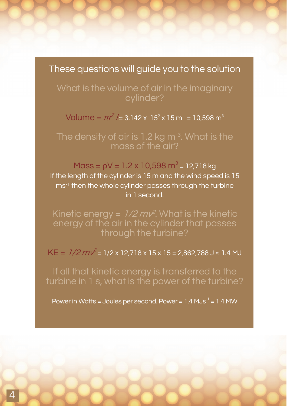# These questions will guide you to the solution

What is the volume of air in the imaginary cylinder?

Volume =  $\pi r^2$  /= 3.142 x 15<sup>2</sup> x 15 m = 10,598 m<sup>3</sup>

The density of air is 1.2 kg m<sup>-3</sup>. What is the mass of the air?

Mass =  $pV = 1.2 \times 10,598$  m<sup>3</sup> = 12,718 kg If the length of the cylinder is 15 m and the wind speed is 15 ms<sup>-1</sup> then the whole cylinder passes through the turbine in 1 second.

Kinetic energy =  $1/2$  m $\nu^2$ . What is the kinetic energy of the air in the cylinder that passes through the turbine?

 $KE = 1/2 mV^2 = 1/2 \times 12,718 \times 15 \times 15 = 2,862,788 \text{ J} \approx 1.4 \text{ MJ}$ 

If all that kinetic energy is transferred to the turbine in 1 s, what is the power of the turbine?

Power in Watts = Joules per second. Power =  $1.4$  MJs<sup>-1</sup> =  $1.4$  MW